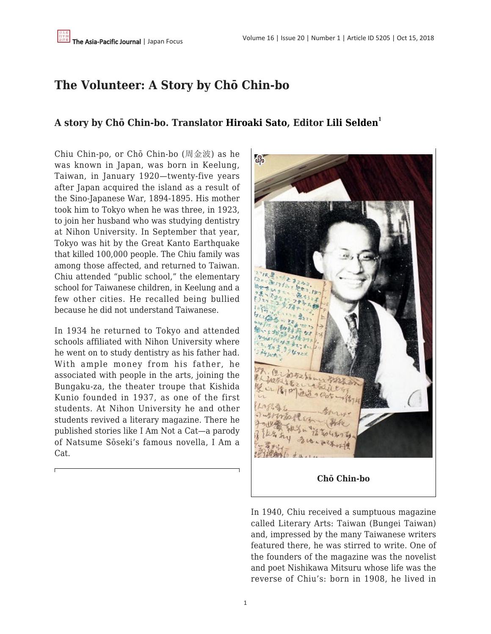## **The Volunteer: A Story by Chō Chin-bo**

## **A story by Chō Chin-bo. Translator [Hiroaki Sato](https://apjjf.org/authors/view/9085), Editor [Lili Selden](https://apjjf.org/authors/view/14617)<sup>1</sup>**

Chiu Chin-po, or Chō Chin-bo (周金波) as he was known in Japan, was born in Keelung, Taiwan, in January 1920—twenty-five years after Japan acquired the island as a result of the Sino-Japanese War, 1894-1895. His mother took him to Tokyo when he was three, in 1923, to join her husband who was studying dentistry at Nihon University. In September that year, Tokyo was hit by the Great Kanto Earthquake that killed 100,000 people. The Chiu family was among those affected, and returned to Taiwan. Chiu attended "public school," the elementary school for Taiwanese children, in Keelung and a few other cities. He recalled being bullied because he did not understand Taiwanese.

In 1934 he returned to Tokyo and attended schools affiliated with Nihon University where he went on to study dentistry as his father had. With ample money from his father, he associated with people in the arts, joining the Bungaku-za, the theater troupe that Kishida Kunio founded in 1937, as one of the first students. At Nihon University he and other students revived a literary magazine. There he published stories like I Am Not a Cat—a parody of Natsume Sōseki's famous novella, I Am a Cat.



In 1940, Chiu received a sumptuous magazine called Literary Arts: Taiwan (Bungei Taiwan) and, impressed by the many Taiwanese writers featured there, he was stirred to write. One of the founders of the magazine was the novelist and poet Nishikawa Mitsuru whose life was the reverse of Chiu's: born in 1908, he lived in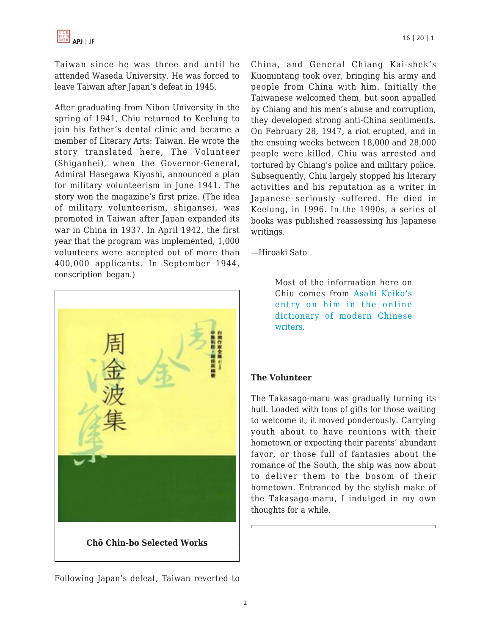Taiwan since he was three and until he attended Waseda University. He was forced to leave Taiwan after Japan's defeat in 1945.

After graduating from Nihon University in the spring of 1941, Chiu returned to Keelung to join his father's dental clinic and became a member of Literary Arts: Taiwan. He wrote the story translated here, The Volunteer (Shiganhei), when the Governor-General, Admiral Hasegawa Kiyoshi, announced a plan for military volunteerism in June 1941. The story won the magazine's first prize. (The idea of military volunteerism, shigansei, was promoted in Taiwan after Japan expanded its war in China in 1937. In April 1942, the first year that the program was implemented, 1,000 volunteers were accepted out of more than 400,000 applicants. In September 1944, conscription began.)



Following Japan's defeat, Taiwan reverted to

China, and General Chiang Kai-shek's Kuomintang took over, bringing his army and people from China with him. Initially the Taiwanese welcomed them, but soon appalled by Chiang and his men's abuse and corruption, they developed strong anti-China sentiments. On February 28, 1947, a riot erupted, and in the ensuing weeks between 18,000 and 28,000 people were killed. Chiu was arrested and tortured by Chiang's police and military police. Subsequently, Chiu largely stopped his literary activities and his reputation as a writer in Japanese seriously suffered. He died in Keelung, in 1996. In the 1990s, a series of books was published reassessing his Japanese writings.

—Hiroaki Sato

Most of the information here on Chiu comes from [Asahi Keiko's](http://www.lang.osaka-u.ac.jp/~s_aono/zjcidian/zuojia3/z/zhou/jinbo/jinbo.htm) [entry on him in the online](http://www.lang.osaka-u.ac.jp/~s_aono/zjcidian/zuojia3/z/zhou/jinbo/jinbo.htm) [dictionary of modern Chinese](http://www.lang.osaka-u.ac.jp/~s_aono/zjcidian/zuojia3/z/zhou/jinbo/jinbo.htm) [writers](http://www.lang.osaka-u.ac.jp/~s_aono/zjcidian/zuojia3/z/zhou/jinbo/jinbo.htm).

## **The Volunteer**

The Takasago-maru was gradually turning its hull. Loaded with tons of gifts for those waiting to welcome it, it moved ponderously. Carrying youth about to have reunions with their hometown or expecting their parents' abundant favor, or those full of fantasies about the romance of the South, the ship was now about to deliver them to the bosom of their hometown. Entranced by the stylish make of the Takasago-maru, I indulged in my own thoughts for a while.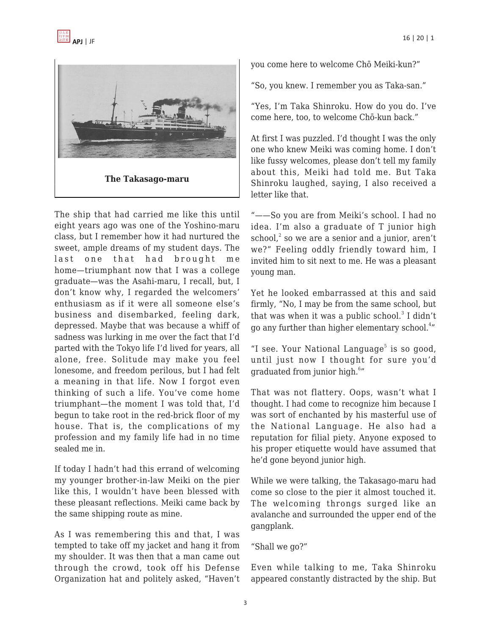

The ship that had carried me like this until eight years ago was one of the Yoshino-maru class, but I remember how it had nurtured the sweet, ample dreams of my student days. The last one that had brought me home—triumphant now that I was a college graduate—was the Asahi-maru, I recall, but, I don't know why, I regarded the welcomers' enthusiasm as if it were all someone else's business and disembarked, feeling dark, depressed. Maybe that was because a whiff of sadness was lurking in me over the fact that I'd parted with the Tokyo life I'd lived for years, all alone, free. Solitude may make you feel lonesome, and freedom perilous, but I had felt a meaning in that life. Now I forgot even thinking of such a life. You've come home triumphant—the moment I was told that, I'd begun to take root in the red-brick floor of my house. That is, the complications of my profession and my family life had in no time sealed me in.

If today I hadn't had this errand of welcoming my younger brother-in-law Meiki on the pier like this, I wouldn't have been blessed with these pleasant reflections. Meiki came back by the same shipping route as mine.

As I was remembering this and that, I was tempted to take off my jacket and hang it from my shoulder. It was then that a man came out through the crowd, took off his Defense Organization hat and politely asked, "Haven't you come here to welcome Chō Meiki-kun?"

"So, you knew. I remember you as Taka-san."

"Yes, I'm Taka Shinroku. How do you do. I've come here, too, to welcome Chō-kun back."

At first I was puzzled. I'd thought I was the only one who knew Meiki was coming home. I don't like fussy welcomes, please don't tell my family about this, Meiki had told me. But Taka Shinroku laughed, saying, I also received a letter like that.

"——So you are from Meiki's school. I had no idea. I'm also a graduate of T junior high  $\mathrm{school}^2$  so we are a senior and a junior, aren't we?" Feeling oddly friendly toward him, I invited him to sit next to me. He was a pleasant young man.

Yet he looked embarrassed at this and said firmly, "No, I may be from the same school, but that was when it was a public school. $^3$  I didn't go any further than higher elementary school.<sup>4</sup>"

"I see. Your National Language $5$  is so good, until just now I thought for sure you'd graduated from junior high.<sup>6</sup>"

That was not flattery. Oops, wasn't what I thought. I had come to recognize him because I was sort of enchanted by his masterful use of the National Language. He also had a reputation for filial piety. Anyone exposed to his proper etiquette would have assumed that he'd gone beyond junior high.

While we were talking, the Takasago-maru had come so close to the pier it almost touched it. The welcoming throngs surged like an avalanche and surrounded the upper end of the gangplank.

"Shall we go?"

Even while talking to me, Taka Shinroku appeared constantly distracted by the ship. But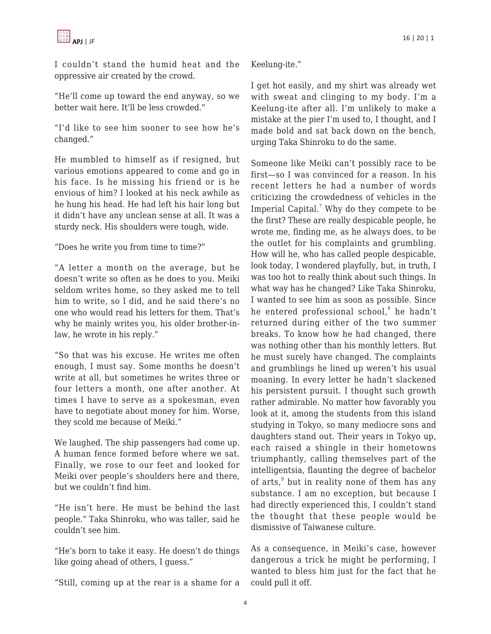I couldn't stand the humid heat and the oppressive air created by the crowd.

"He'll come up toward the end anyway, so we better wait here. It'll be less crowded."

"I'd like to see him sooner to see how he's changed."

He mumbled to himself as if resigned, but various emotions appeared to come and go in his face. Is he missing his friend or is he envious of him? I looked at his neck awhile as he hung his head. He had left his hair long but it didn't have any unclean sense at all. It was a sturdy neck. His shoulders were tough, wide.

"Does he write you from time to time?"

"A letter a month on the average, but he doesn't write so often as he does to you. Meiki seldom writes home, so they asked me to tell him to write, so I did, and he said there's no one who would read his letters for them. That's why he mainly writes you, his older brother-inlaw, he wrote in his reply."

"So that was his excuse. He writes me often enough, I must say. Some months he doesn't write at all, but sometimes he writes three or four letters a month, one after another. At times I have to serve as a spokesman, even have to negotiate about money for him. Worse, they scold me because of Meiki."

We laughed. The ship passengers had come up. A human fence formed before where we sat. Finally, we rose to our feet and looked for Meiki over people's shoulders here and there, but we couldn't find him.

"He isn't here. He must be behind the last people." Taka Shinroku, who was taller, said he couldn't see him.

"He's born to take it easy. He doesn't do things like going ahead of others, I guess."

"Still, coming up at the rear is a shame for a

Keelung-ite."

I get hot easily, and my shirt was already wet with sweat and clinging to my body. I'm a Keelung-ite after all. I'm unlikely to make a mistake at the pier I'm used to, I thought, and I made bold and sat back down on the bench, urging Taka Shinroku to do the same.

Someone like Meiki can't possibly race to be first—so I was convinced for a reason. In his recent letters he had a number of words criticizing the crowdedness of vehicles in the Imperial Capital.<sup>7</sup> Why do they compete to be the first? These are really despicable people, he wrote me, finding me, as he always does, to be the outlet for his complaints and grumbling. How will he, who has called people despicable, look today, I wondered playfully, but, in truth, I was too hot to really think about such things. In what way has he changed? Like Taka Shinroku, I wanted to see him as soon as possible. Since he entered professional school,<sup>8</sup> he hadn't returned during either of the two summer breaks. To know how he had changed, there was nothing other than his monthly letters. But he must surely have changed. The complaints and grumblings he lined up weren't his usual moaning. In every letter he hadn't slackened his persistent pursuit. I thought such growth rather admirable. No matter how favorably you look at it, among the students from this island studying in Tokyo, so many mediocre sons and daughters stand out. Their years in Tokyo up, each raised a shingle in their hometowns triumphantly, calling themselves part of the intelligentsia, flaunting the degree of bachelor of arts,<sup>9</sup> but in reality none of them has any substance. I am no exception, but because I had directly experienced this, I couldn't stand the thought that these people would be dismissive of Taiwanese culture.

As a consequence, in Meiki's case, however dangerous a trick he might be performing, I wanted to bless him just for the fact that he could pull it off.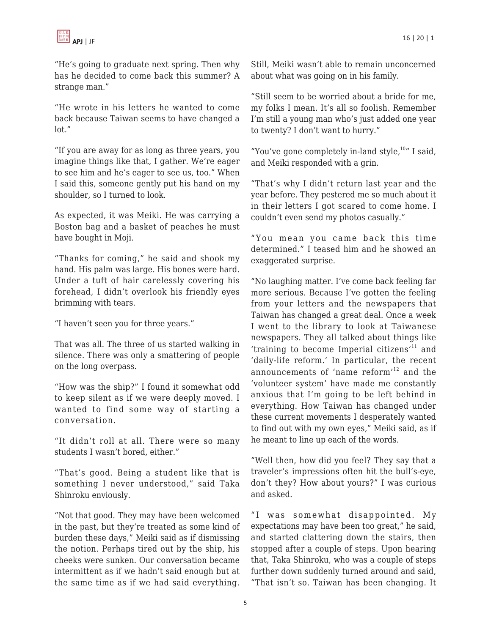

"He's going to graduate next spring. Then why has he decided to come back this summer? A strange man."

"He wrote in his letters he wanted to come back because Taiwan seems to have changed a lot."

"If you are away for as long as three years, you imagine things like that, I gather. We're eager to see him and he's eager to see us, too." When I said this, someone gently put his hand on my shoulder, so I turned to look.

As expected, it was Meiki. He was carrying a Boston bag and a basket of peaches he must have bought in Moji.

"Thanks for coming," he said and shook my hand. His palm was large. His bones were hard. Under a tuft of hair carelessly covering his forehead, I didn't overlook his friendly eyes brimming with tears.

"I haven't seen you for three years."

That was all. The three of us started walking in silence. There was only a smattering of people on the long overpass.

"How was the ship?" I found it somewhat odd to keep silent as if we were deeply moved. I wanted to find some way of starting a conversation.

"It didn't roll at all. There were so many students I wasn't bored, either."

"That's good. Being a student like that is something I never understood," said Taka Shinroku enviously.

"Not that good. They may have been welcomed in the past, but they're treated as some kind of burden these days," Meiki said as if dismissing the notion. Perhaps tired out by the ship, his cheeks were sunken. Our conversation became intermittent as if we hadn't said enough but at the same time as if we had said everything. Still, Meiki wasn't able to remain unconcerned about what was going on in his family.

"Still seem to be worried about a bride for me, my folks I mean. It's all so foolish. Remember I'm still a young man who's just added one year to twenty? I don't want to hurry."

"You've gone completely in-land style, $10''$  I said, and Meiki responded with a grin.

"That's why I didn't return last year and the year before. They pestered me so much about it in their letters I got scared to come home. I couldn't even send my photos casually."

"You mean you came back this time determined." I teased him and he showed an exaggerated surprise.

"No laughing matter. I've come back feeling far more serious. Because I've gotten the feeling from your letters and the newspapers that Taiwan has changed a great deal. Once a week I went to the library to look at Taiwanese newspapers. They all talked about things like 'training to become Imperial citizens $'$ <sup>11</sup> and 'daily-life reform.' In particular, the recent announcements of 'name reform'<sup>12</sup> and the 'volunteer system' have made me constantly anxious that I'm going to be left behind in everything. How Taiwan has changed under these current movements I desperately wanted to find out with my own eyes," Meiki said, as if he meant to line up each of the words.

"Well then, how did you feel? They say that a traveler's impressions often hit the bull's-eye, don't they? How about yours?" I was curious and asked.

"I was somewhat disappointed. My expectations may have been too great," he said, and started clattering down the stairs, then stopped after a couple of steps. Upon hearing that, Taka Shinroku, who was a couple of steps further down suddenly turned around and said, "That isn't so. Taiwan has been changing. It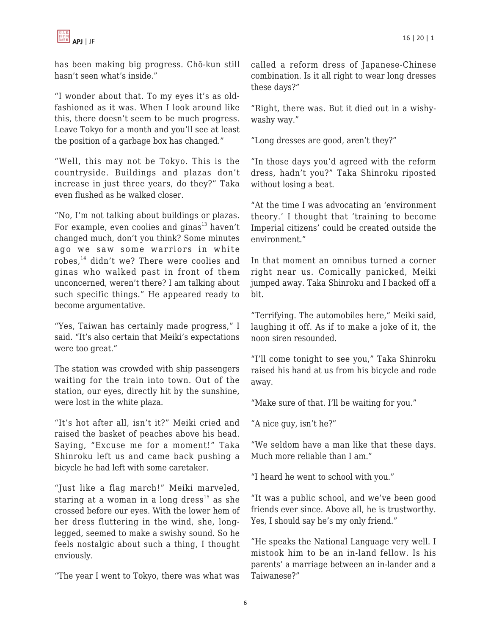

has been making big progress. Chō-kun still hasn't seen what's inside."

"I wonder about that. To my eyes it's as oldfashioned as it was. When I look around like this, there doesn't seem to be much progress. Leave Tokyo for a month and you'll see at least the position of a garbage box has changed."

"Well, this may not be Tokyo. This is the countryside. Buildings and plazas don't increase in just three years, do they?" Taka even flushed as he walked closer.

"No, I'm not talking about buildings or plazas. For example, even coolies and ginas<sup>13</sup> haven't changed much, don't you think? Some minutes ago we saw some warriors in white robes,<sup>14</sup> didn't we? There were coolies and ginas who walked past in front of them unconcerned, weren't there? I am talking about such specific things." He appeared ready to become argumentative.

"Yes, Taiwan has certainly made progress," I said. "It's also certain that Meiki's expectations were too great."

The station was crowded with ship passengers waiting for the train into town. Out of the station, our eyes, directly hit by the sunshine, were lost in the white plaza.

"It's hot after all, isn't it?" Meiki cried and raised the basket of peaches above his head. Saying, "Excuse me for a moment!" Taka Shinroku left us and came back pushing a bicycle he had left with some caretaker.

"Just like a flag march!" Meiki marveled, staring at a woman in a long dress<sup>15</sup> as she crossed before our eyes. With the lower hem of her dress fluttering in the wind, she, longlegged, seemed to make a swishy sound. So he feels nostalgic about such a thing, I thought enviously.

"The year I went to Tokyo, there was what was

called a reform dress of Japanese-Chinese combination. Is it all right to wear long dresses these days?"

"Right, there was. But it died out in a wishywashy way."

"Long dresses are good, aren't they?"

"In those days you'd agreed with the reform dress, hadn't you?" Taka Shinroku riposted without losing a beat.

"At the time I was advocating an 'environment theory.' I thought that 'training to become Imperial citizens' could be created outside the environment."

In that moment an omnibus turned a corner right near us. Comically panicked, Meiki jumped away. Taka Shinroku and I backed off a bit.

"Terrifying. The automobiles here," Meiki said, laughing it off. As if to make a joke of it, the noon siren resounded.

"I'll come tonight to see you," Taka Shinroku raised his hand at us from his bicycle and rode away.

"Make sure of that. I'll be waiting for you."

"A nice guy, isn't he?"

"We seldom have a man like that these days. Much more reliable than I am."

"I heard he went to school with you."

"It was a public school, and we've been good friends ever since. Above all, he is trustworthy. Yes, I should say he's my only friend."

"He speaks the National Language very well. I mistook him to be an in-land fellow. Is his parents' a marriage between an in-lander and a Taiwanese?"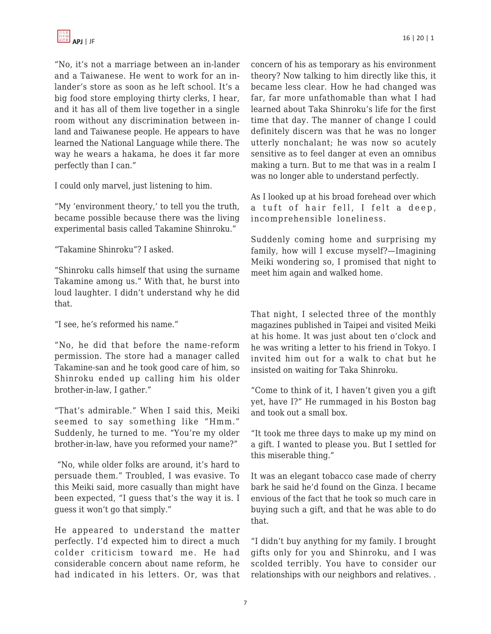"No, it's not a marriage between an in-lander and a Taiwanese. He went to work for an inlander's store as soon as he left school. It's a big food store employing thirty clerks, I hear, and it has all of them live together in a single room without any discrimination between inland and Taiwanese people. He appears to have learned the National Language while there. The way he wears a hakama, he does it far more perfectly than I can."

I could only marvel, just listening to him.

"My 'environment theory,' to tell you the truth, became possible because there was the living experimental basis called Takamine Shinroku."

"Takamine Shinroku"? I asked.

"Shinroku calls himself that using the surname Takamine among us." With that, he burst into loud laughter. I didn't understand why he did that.

"I see, he's reformed his name."

"No, he did that before the name-reform permission. The store had a manager called Takamine-san and he took good care of him, so Shinroku ended up calling him his older brother-in-law, I gather."

"That's admirable." When I said this, Meiki seemed to say something like "Hmm." Suddenly, he turned to me. "You're my older brother-in-law, have you reformed your name?"

 "No, while older folks are around, it's hard to persuade them." Troubled, I was evasive. To this Meiki said, more casually than might have been expected, "I guess that's the way it is. I guess it won't go that simply."

He appeared to understand the matter perfectly. I'd expected him to direct a much colder criticism toward me. He had considerable concern about name reform, he had indicated in his letters. Or, was that concern of his as temporary as his environment theory? Now talking to him directly like this, it became less clear. How he had changed was far, far more unfathomable than what I had learned about Taka Shinroku's life for the first time that day. The manner of change I could definitely discern was that he was no longer utterly nonchalant; he was now so acutely sensitive as to feel danger at even an omnibus making a turn. But to me that was in a realm I was no longer able to understand perfectly.

As I looked up at his broad forehead over which a tuft of hair fell, I felt a deep, incomprehensible loneliness.

Suddenly coming home and surprising my family, how will I excuse myself?—Imagining Meiki wondering so, I promised that night to meet him again and walked home.

That night, I selected three of the monthly magazines published in Taipei and visited Meiki at his home. It was just about ten o'clock and he was writing a letter to his friend in Tokyo. I invited him out for a walk to chat but he insisted on waiting for Taka Shinroku.

"Come to think of it, I haven't given you a gift yet, have I?" He rummaged in his Boston bag and took out a small box.

"It took me three days to make up my mind on a gift. I wanted to please you. But I settled for this miserable thing."

It was an elegant tobacco case made of cherry bark he said he'd found on the Ginza. I became envious of the fact that he took so much care in buying such a gift, and that he was able to do that.

"I didn't buy anything for my family. I brought gifts only for you and Shinroku, and I was scolded terribly. You have to consider our relationships with our neighbors and relatives. .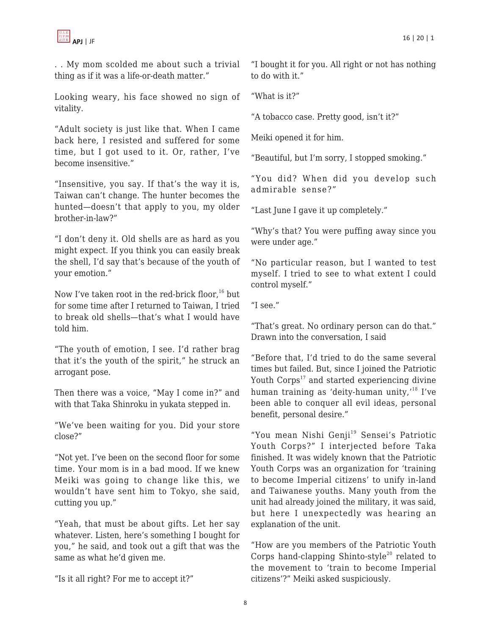

. . My mom scolded me about such a trivial thing as if it was a life-or-death matter."

Looking weary, his face showed no sign of vitality.

"Adult society is just like that. When I came back here, I resisted and suffered for some time, but I got used to it. Or, rather, I've become insensitive."

"Insensitive, you say. If that's the way it is, Taiwan can't change. The hunter becomes the hunted—doesn't that apply to you, my older brother-in-law?"

"I don't deny it. Old shells are as hard as you might expect. If you think you can easily break the shell, I'd say that's because of the youth of your emotion."

Now I've taken root in the red-brick floor, $16$  but for some time after I returned to Taiwan, I tried to break old shells—that's what I would have told him.

"The youth of emotion, I see. I'd rather brag that it's the youth of the spirit," he struck an arrogant pose.

Then there was a voice, "May I come in?" and with that Taka Shinroku in yukata stepped in.

"We've been waiting for you. Did your store close?"

"Not yet. I've been on the second floor for some time. Your mom is in a bad mood. If we knew Meiki was going to change like this, we wouldn't have sent him to Tokyo, she said, cutting you up."

"Yeah, that must be about gifts. Let her say whatever. Listen, here's something I bought for you," he said, and took out a gift that was the same as what he'd given me.

"Is it all right? For me to accept it?"

"I bought it for you. All right or not has nothing to do with it."

"What is it?"

"A tobacco case. Pretty good, isn't it?"

Meiki opened it for him.

"Beautiful, but I'm sorry, I stopped smoking."

"You did? When did you develop such admirable sense?"

"Last June I gave it up completely."

"Why's that? You were puffing away since you were under age."

"No particular reason, but I wanted to test myself. I tried to see to what extent I could control myself."

"I see."

"That's great. No ordinary person can do that." Drawn into the conversation, I said

"Before that, I'd tried to do the same several times but failed. But, since I joined the Patriotic Youth  $Corps<sup>17</sup>$  and started experiencing divine human training as 'deity-human unity,'<sup>18</sup> I've been able to conquer all evil ideas, personal benefit, personal desire."

"You mean Nishi Genji<sup>19</sup> Sensei's Patriotic Youth Corps?" I interjected before Taka finished. It was widely known that the Patriotic Youth Corps was an organization for 'training to become Imperial citizens' to unify in-land and Taiwanese youths. Many youth from the unit had already joined the military, it was said, but here I unexpectedly was hearing an explanation of the unit.

"How are you members of the Patriotic Youth Corps hand-clapping Shinto-style<sup>20</sup> related to the movement to 'train to become Imperial citizens'?" Meiki asked suspiciously.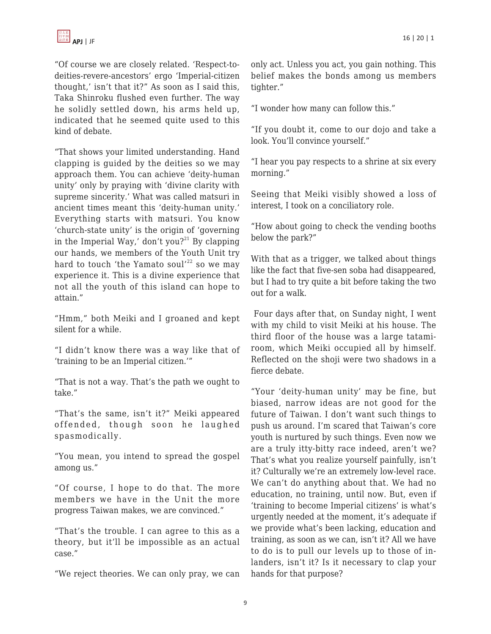"Of course we are closely related. 'Respect-todeities-revere-ancestors' ergo 'Imperial-citizen thought,' isn't that it?" As soon as I said this, Taka Shinroku flushed even further. The way he solidly settled down, his arms held up, indicated that he seemed quite used to this kind of debate.

"That shows your limited understanding. Hand clapping is guided by the deities so we may approach them. You can achieve 'deity-human unity' only by praying with 'divine clarity with supreme sincerity.' What was called matsuri in ancient times meant this 'deity-human unity.' Everything starts with matsuri. You know 'church-state unity' is the origin of 'governing in the Imperial Way,' don't you?<sup>21</sup> By clapping our hands, we members of the Youth Unit try hard to touch 'the Yamato soul'<sup>22</sup> so we may experience it. This is a divine experience that not all the youth of this island can hope to attain."

"Hmm," both Meiki and I groaned and kept silent for a while.

"I didn't know there was a way like that of 'training to be an Imperial citizen.'"

"That is not a way. That's the path we ought to take."

"That's the same, isn't it?" Meiki appeared offended, though soon he laughed spasmodically.

"You mean, you intend to spread the gospel among us."

"Of course, I hope to do that. The more members we have in the Unit the more progress Taiwan makes, we are convinced."

"That's the trouble. I can agree to this as a theory, but it'll be impossible as an actual case."

"We reject theories. We can only pray, we can

only act. Unless you act, you gain nothing. This belief makes the bonds among us members tighter."

"I wonder how many can follow this."

"If you doubt it, come to our dojo and take a look. You'll convince yourself."

"I hear you pay respects to a shrine at six every morning."

Seeing that Meiki visibly showed a loss of interest, I took on a conciliatory role.

"How about going to check the vending booths below the park?"

With that as a trigger, we talked about things like the fact that five-sen soba had disappeared, but I had to try quite a bit before taking the two out for a walk.

 Four days after that, on Sunday night, I went with my child to visit Meiki at his house. The third floor of the house was a large tatamiroom, which Meiki occupied all by himself. Reflected on the shoji were two shadows in a fierce debate.

"Your 'deity-human unity' may be fine, but biased, narrow ideas are not good for the future of Taiwan. I don't want such things to push us around. I'm scared that Taiwan's core youth is nurtured by such things. Even now we are a truly itty-bitty race indeed, aren't we? That's what you realize yourself painfully, isn't it? Culturally we're an extremely low-level race. We can't do anything about that. We had no education, no training, until now. But, even if 'training to become Imperial citizens' is what's urgently needed at the moment, it's adequate if we provide what's been lacking, education and training, as soon as we can, isn't it? All we have to do is to pull our levels up to those of inlanders, isn't it? Is it necessary to clap your hands for that purpose?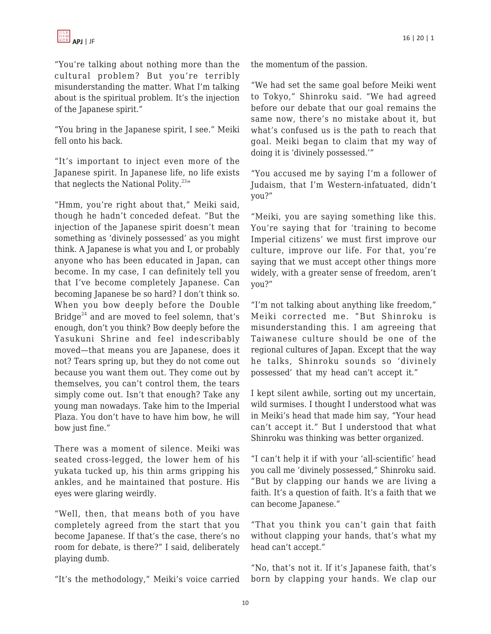"You're talking about nothing more than the cultural problem? But you're terribly misunderstanding the matter. What I'm talking about is the spiritual problem. It's the injection of the Japanese spirit."

"You bring in the Japanese spirit, I see." Meiki fell onto his back.

"It's important to inject even more of the Japanese spirit. In Japanese life, no life exists that neglects the National Polity. $23''$ 

"Hmm, you're right about that," Meiki said, though he hadn't conceded defeat. "But the injection of the Japanese spirit doesn't mean something as 'divinely possessed' as you might think. A Japanese is what you and I, or probably anyone who has been educated in Japan, can become. In my case, I can definitely tell you that I've become completely Japanese. Can becoming Japanese be so hard? I don't think so. When you bow deeply before the Double Bridge<sup>24</sup> and are moved to feel solemn, that's enough, don't you think? Bow deeply before the Yasukuni Shrine and feel indescribably moved—that means you are Japanese, does it not? Tears spring up, but they do not come out because you want them out. They come out by themselves, you can't control them, the tears simply come out. Isn't that enough? Take any young man nowadays. Take him to the Imperial Plaza. You don't have to have him bow, he will bow just fine."

There was a moment of silence. Meiki was seated cross-legged, the lower hem of his yukata tucked up, his thin arms gripping his ankles, and he maintained that posture. His eyes were glaring weirdly.

"Well, then, that means both of you have completely agreed from the start that you become Japanese. If that's the case, there's no room for debate, is there?" I said, deliberately playing dumb.

"It's the methodology," Meiki's voice carried

the momentum of the passion.

"We had set the same goal before Meiki went to Tokyo," Shinroku said. "We had agreed before our debate that our goal remains the same now, there's no mistake about it, but what's confused us is the path to reach that goal. Meiki began to claim that my way of doing it is 'divinely possessed.'"

"You accused me by saying I'm a follower of Judaism, that I'm Western-infatuated, didn't you?"

"Meiki, you are saying something like this. You're saying that for 'training to become Imperial citizens' we must first improve our culture, improve our life. For that, you're saying that we must accept other things more widely, with a greater sense of freedom, aren't you?"

"I'm not talking about anything like freedom," Meiki corrected me. "But Shinroku is misunderstanding this. I am agreeing that Taiwanese culture should be one of the regional cultures of Japan. Except that the way he talks, Shinroku sounds so 'divinely possessed' that my head can't accept it."

I kept silent awhile, sorting out my uncertain, wild surmises. I thought I understood what was in Meiki's head that made him say, "Your head can't accept it." But I understood that what Shinroku was thinking was better organized.

"I can't help it if with your 'all-scientific' head you call me 'divinely possessed," Shinroku said. "But by clapping our hands we are living a faith. It's a question of faith. It's a faith that we can become Japanese."

"That you think you can't gain that faith without clapping your hands, that's what my head can't accept."

"No, that's not it. If it's Japanese faith, that's born by clapping your hands. We clap our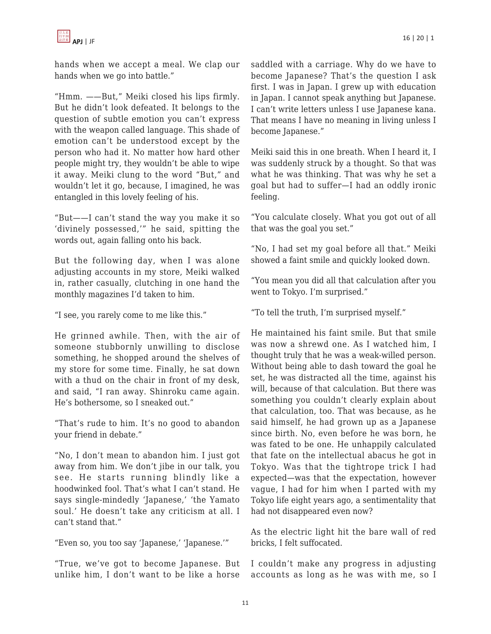

hands when we accept a meal. We clap our hands when we go into battle."

"Hmm. ——But," Meiki closed his lips firmly. But he didn't look defeated. It belongs to the question of subtle emotion you can't express with the weapon called language. This shade of emotion can't be understood except by the person who had it. No matter how hard other people might try, they wouldn't be able to wipe it away. Meiki clung to the word "But," and wouldn't let it go, because, I imagined, he was entangled in this lovely feeling of his.

"But——I can't stand the way you make it so 'divinely possessed,'" he said, spitting the words out, again falling onto his back.

But the following day, when I was alone adjusting accounts in my store, Meiki walked in, rather casually, clutching in one hand the monthly magazines I'd taken to him.

"I see, you rarely come to me like this."

He grinned awhile. Then, with the air of someone stubbornly unwilling to disclose something, he shopped around the shelves of my store for some time. Finally, he sat down with a thud on the chair in front of my desk, and said, "I ran away. Shinroku came again. He's bothersome, so I sneaked out."

"That's rude to him. It's no good to abandon your friend in debate."

"No, I don't mean to abandon him. I just got away from him. We don't jibe in our talk, you see. He starts running blindly like a hoodwinked fool. That's what I can't stand. He says single-mindedly 'Japanese,' 'the Yamato soul.' He doesn't take any criticism at all. I can't stand that."

"Even so, you too say 'Japanese,' 'Japanese.'"

"True, we've got to become Japanese. But unlike him, I don't want to be like a horse saddled with a carriage. Why do we have to become Japanese? That's the question I ask first. I was in Japan. I grew up with education in Japan. I cannot speak anything but Japanese. I can't write letters unless I use Japanese kana. That means I have no meaning in living unless I become Japanese."

Meiki said this in one breath. When I heard it, I was suddenly struck by a thought. So that was what he was thinking. That was why he set a goal but had to suffer—I had an oddly ironic feeling.

"You calculate closely. What you got out of all that was the goal you set."

"No, I had set my goal before all that." Meiki showed a faint smile and quickly looked down.

"You mean you did all that calculation after you went to Tokyo. I'm surprised."

"To tell the truth, I'm surprised myself."

He maintained his faint smile. But that smile was now a shrewd one. As I watched him, I thought truly that he was a weak-willed person. Without being able to dash toward the goal he set, he was distracted all the time, against his will, because of that calculation. But there was something you couldn't clearly explain about that calculation, too. That was because, as he said himself, he had grown up as a Japanese since birth. No, even before he was born, he was fated to be one. He unhappily calculated that fate on the intellectual abacus he got in Tokyo. Was that the tightrope trick I had expected—was that the expectation, however vague, I had for him when I parted with my Tokyo life eight years ago, a sentimentality that had not disappeared even now?

As the electric light hit the bare wall of red bricks, I felt suffocated.

I couldn't make any progress in adjusting accounts as long as he was with me, so I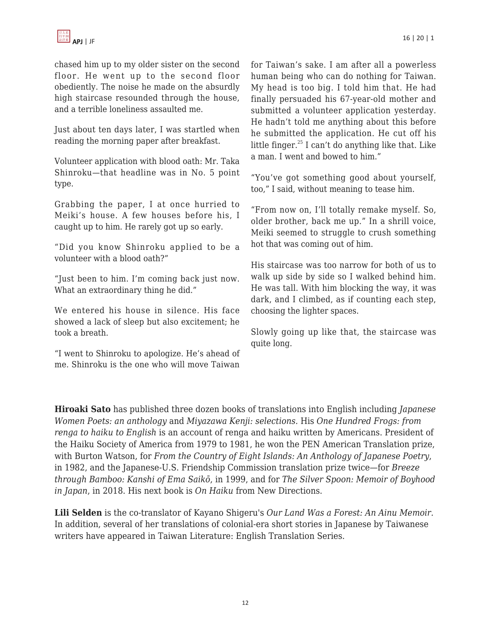chased him up to my older sister on the second floor. He went up to the second floor obediently. The noise he made on the absurdly high staircase resounded through the house, and a terrible loneliness assaulted me.

Just about ten days later, I was startled when reading the morning paper after breakfast.

Volunteer application with blood oath: Mr. Taka Shinroku—that headline was in No. 5 point type.

Grabbing the paper, I at once hurried to Meiki's house. A few houses before his, I caught up to him. He rarely got up so early.

"Did you know Shinroku applied to be a volunteer with a blood oath?"

"Just been to him. I'm coming back just now. What an extraordinary thing he did."

We entered his house in silence. His face showed a lack of sleep but also excitement; he took a breath.

"I went to Shinroku to apologize. He's ahead of me. Shinroku is the one who will move Taiwan for Taiwan's sake. I am after all a powerless human being who can do nothing for Taiwan. My head is too big. I told him that. He had finally persuaded his 67-year-old mother and submitted a volunteer application yesterday. He hadn't told me anything about this before he submitted the application. He cut off his little finger. $^{25}$  I can't do anything like that. Like a man. I went and bowed to him."

"You've got something good about yourself, too," I said, without meaning to tease him.

"From now on, I'll totally remake myself. So, older brother, back me up." In a shrill voice, Meiki seemed to struggle to crush something hot that was coming out of him.

His staircase was too narrow for both of us to walk up side by side so I walked behind him. He was tall. With him blocking the way, it was dark, and I climbed, as if counting each step, choosing the lighter spaces.

Slowly going up like that, the staircase was quite long.

**Hiroaki Sato** has published three dozen books of translations into English including *Japanese Women Poets: an anthology* and *Miyazawa Kenji: selections.* His *One Hundred Frogs: from renga to haiku to English* is an account of renga and haiku written by Americans. President of the Haiku Society of America from 1979 to 1981, he won the PEN American Translation prize, with Burton Watson, for *From the Country of Eight Islands: An Anthology of Japanese Poetry*, in 1982, and the Japanese-U.S. Friendship Commission translation prize twice—for *Breeze through Bamboo: Kanshi of Ema Saikō*, in 1999, and for *The Silver Spoon: Memoir of Boyhood in Japan*, in 2018. His next book is *On Haiku* from New Directions.

**Lili Selden** is the co-translator of Kayano Shigeru's *Our Land Was a Forest: An Ainu Memoir.* In addition, several of her translations of colonial-era short stories in Japanese by Taiwanese writers have appeared in Taiwan Literature: English Translation Series.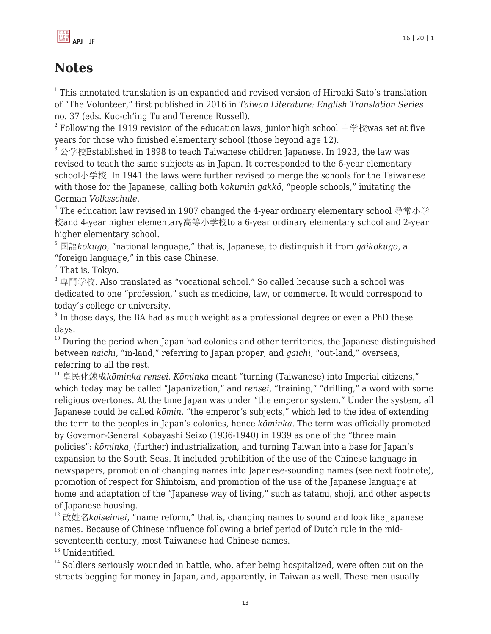

## **Notes**

 $^1$  This annotated translation is an expanded and revised version of Hiroaki Sato's translation of "The Volunteer," first published in 2016 in *Taiwan Literature: English Translation Series* no. 37 (eds. Kuo-ch'ing Tu and Terence Russell).

 $^{\rm 2}$  Following the 1919 revision of the education laws, junior high school 中学校was set at five years for those who finished elementary school (those beyond age 12).

 $3 \&$ 学校Established in 1898 to teach Taiwanese children Japanese. In 1923, the law was revised to teach the same subjects as in Japan. It corresponded to the 6-year elementary school小学校. In 1941 the laws were further revised to merge the schools for the Taiwanese with those for the Japanese, calling both *kokumin gakkō*, "people schools," imitating the German *Volksschule*.

 $^4$  The education law revised in 1907 changed the 4-year ordinary elementary school 尋常小学 校and 4-year higher elementary高等小学校to a 6-year ordinary elementary school and 2-year higher elementary school.

<sup>5</sup> 国語*kokugo*, "national language," that is, Japanese, to distinguish it from *gaikokugo*, a "foreign language," in this case Chinese.

 $7$  That is, Tokyo.

<sup>8</sup> 専門学校*.* Also translated as "vocational school." So called because such a school was dedicated to one "profession," such as medicine, law, or commerce. It would correspond to today's college or university.

 $^9$  In those days, the BA had as much weight as a professional degree or even a PhD these days.

 $10$  During the period when Japan had colonies and other territories, the Japanese distinguished between *naichi*, "in-land," referring to Japan proper, and *gaichi*, "out-land," overseas, referring to all the rest.

<sup>11</sup> 皇民化錬成*kōminka rensei. Kōminka* meant "turning (Taiwanese) into Imperial citizens," which today may be called "Japanization," and *rensei*, "training," "drilling," a word with some religious overtones. At the time Japan was under "the emperor system." Under the system, all Japanese could be called *kōmin*, "the emperor's subjects," which led to the idea of extending the term to the peoples in Japan's colonies, hence *kōminka*. The term was officially promoted by Governor-General Kobayashi Seizō (1936-1940) in 1939 as one of the "three main policies": *kōminka*, (further) industrialization, and turning Taiwan into a base for Japan's expansion to the South Seas. It included prohibition of the use of the Chinese language in newspapers, promotion of changing names into Japanese-sounding names (see next footnote), promotion of respect for Shintoism, and promotion of the use of the Japanese language at home and adaptation of the "Japanese way of living," such as tatami, shoji, and other aspects of Japanese housing.

<sup>12</sup> 改姓名*kaiseimei*, "name reform," that is, changing names to sound and look like Japanese names. Because of Chinese influence following a brief period of Dutch rule in the midseventeenth century, most Taiwanese had Chinese names.

 $13$  Unidentified.

<sup>14</sup> Soldiers seriously wounded in battle, who, after being hospitalized, were often out on the streets begging for money in Japan, and, apparently, in Taiwan as well. These men usually